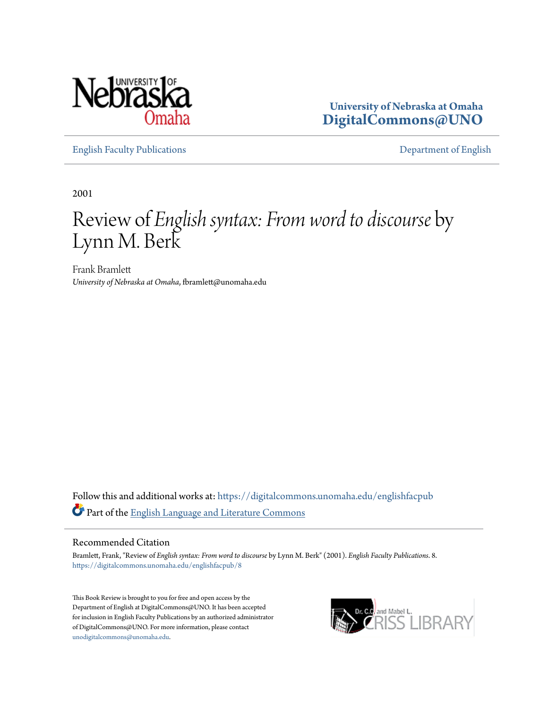

**University of Nebraska at Omaha [DigitalCommons@UNO](https://digitalcommons.unomaha.edu?utm_source=digitalcommons.unomaha.edu%2Fenglishfacpub%2F8&utm_medium=PDF&utm_campaign=PDFCoverPages)**

[English Faculty Publications](https://digitalcommons.unomaha.edu/englishfacpub?utm_source=digitalcommons.unomaha.edu%2Fenglishfacpub%2F8&utm_medium=PDF&utm_campaign=PDFCoverPages) [Department of English](https://digitalcommons.unomaha.edu/english?utm_source=digitalcommons.unomaha.edu%2Fenglishfacpub%2F8&utm_medium=PDF&utm_campaign=PDFCoverPages)

2001

## Review of *English syntax: From word to discourse* by Lynn M. Berk

Frank Bramlett *University of Nebraska at Omaha*, fbramlett@unomaha.edu

Follow this and additional works at: [https://digitalcommons.unomaha.edu/englishfacpub](https://digitalcommons.unomaha.edu/englishfacpub?utm_source=digitalcommons.unomaha.edu%2Fenglishfacpub%2F8&utm_medium=PDF&utm_campaign=PDFCoverPages) Part of the [English Language and Literature Commons](http://network.bepress.com/hgg/discipline/455?utm_source=digitalcommons.unomaha.edu%2Fenglishfacpub%2F8&utm_medium=PDF&utm_campaign=PDFCoverPages)

## Recommended Citation

Bramlett, Frank, "Review of *English syntax: From word to discourse* by Lynn M. Berk" (2001). *English Faculty Publications*. 8. [https://digitalcommons.unomaha.edu/englishfacpub/8](https://digitalcommons.unomaha.edu/englishfacpub/8?utm_source=digitalcommons.unomaha.edu%2Fenglishfacpub%2F8&utm_medium=PDF&utm_campaign=PDFCoverPages)

This Book Review is brought to you for free and open access by the Department of English at DigitalCommons@UNO. It has been accepted for inclusion in English Faculty Publications by an authorized administrator of DigitalCommons@UNO. For more information, please contact [unodigitalcommons@unomaha.edu](mailto:unodigitalcommons@unomaha.edu).

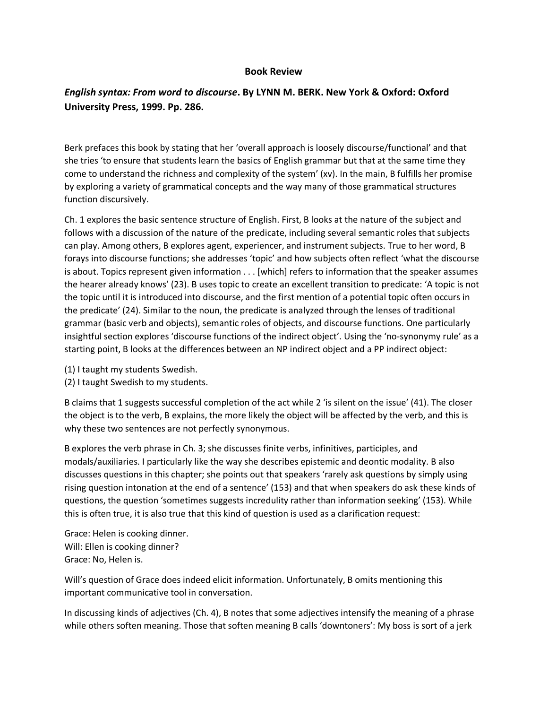## **Book Review**

## *English syntax: From word to discourse***. By LYNN M. BERK. New York & Oxford: Oxford University Press, 1999. Pp. 286.**

Berk prefaces this book by stating that her 'overall approach is loosely discourse/functional' and that she tries 'to ensure that students learn the basics of English grammar but that at the same time they come to understand the richness and complexity of the system' (xv). In the main, B fulfills her promise by exploring a variety of grammatical concepts and the way many of those grammatical structures function discursively.

Ch. 1 explores the basic sentence structure of English. First, B looks at the nature of the subject and follows with a discussion of the nature of the predicate, including several semantic roles that subjects can play. Among others, B explores agent, experiencer, and instrument subjects. True to her word, B forays into discourse functions; she addresses 'topic' and how subjects often reflect 'what the discourse is about. Topics represent given information . . . [which] refers to information that the speaker assumes the hearer already knows' (23). B uses topic to create an excellent transition to predicate: 'A topic is not the topic until it is introduced into discourse, and the first mention of a potential topic often occurs in the predicate' (24). Similar to the noun, the predicate is analyzed through the lenses of traditional grammar (basic verb and objects), semantic roles of objects, and discourse functions. One particularly insightful section explores 'discourse functions of the indirect object'. Using the 'no-synonymy rule' as a starting point, B looks at the differences between an NP indirect object and a PP indirect object:

- (1) I taught my students Swedish.
- (2) I taught Swedish to my students.

B claims that 1 suggests successful completion of the act while 2 'is silent on the issue' (41). The closer the object is to the verb, B explains, the more likely the object will be affected by the verb, and this is why these two sentences are not perfectly synonymous.

B explores the verb phrase in Ch. 3; she discusses finite verbs, infinitives, participles, and modals/auxiliaries. I particularly like the way she describes epistemic and deontic modality. B also discusses questions in this chapter; she points out that speakers 'rarely ask questions by simply using rising question intonation at the end of a sentence' (153) and that when speakers do ask these kinds of questions, the question 'sometimes suggests incredulity rather than information seeking' (153). While this is often true, it is also true that this kind of question is used as a clarification request:

Grace: Helen is cooking dinner. Will: Ellen is cooking dinner? Grace: No, Helen is.

Will's question of Grace does indeed elicit information. Unfortunately, B omits mentioning this important communicative tool in conversation.

In discussing kinds of adjectives (Ch. 4), B notes that some adjectives intensify the meaning of a phrase while others soften meaning. Those that soften meaning B calls 'downtoners': My boss is sort of a jerk